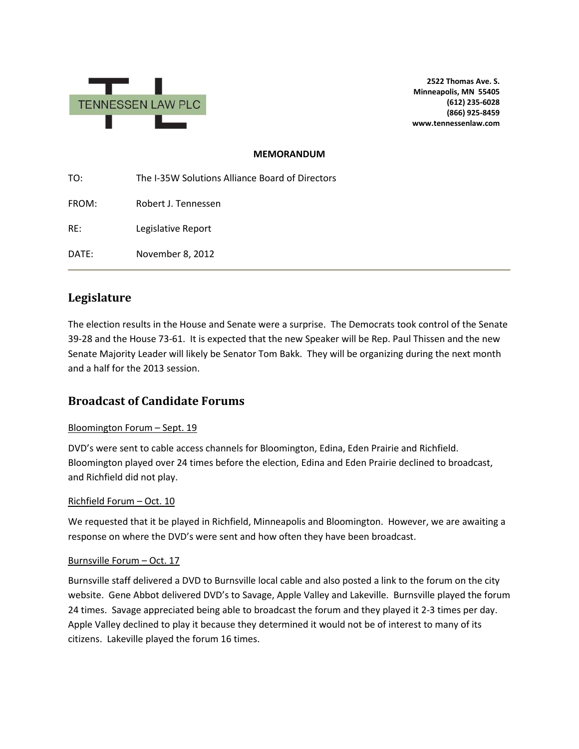

**2522 Thomas Ave. S. Minneapolis, MN 55405 (612) 235-6028 (866) 925-8459 www.tennessenlaw.com**

## **MEMORANDUM**

TO: The I-35W Solutions Alliance Board of Directors FROM: Robert J. Tennessen RE: Legislative Report DATE: November 8, 2012

# **Legislature**

The election results in the House and Senate were a surprise. The Democrats took control of the Senate 39-28 and the House 73-61. It is expected that the new Speaker will be Rep. Paul Thissen and the new Senate Majority Leader will likely be Senator Tom Bakk. They will be organizing during the next month and a half for the 2013 session.

# **Broadcast of Candidate Forums**

## Bloomington Forum – Sept. 19

DVD's were sent to cable access channels for Bloomington, Edina, Eden Prairie and Richfield. Bloomington played over 24 times before the election, Edina and Eden Prairie declined to broadcast, and Richfield did not play.

## Richfield Forum – Oct. 10

We requested that it be played in Richfield, Minneapolis and Bloomington. However, we are awaiting a response on where the DVD's were sent and how often they have been broadcast.

## Burnsville Forum – Oct. 17

Burnsville staff delivered a DVD to Burnsville local cable and also posted a link to the forum on the city website. Gene Abbot delivered DVD's to Savage, Apple Valley and Lakeville. Burnsville played the forum 24 times. Savage appreciated being able to broadcast the forum and they played it 2-3 times per day. Apple Valley declined to play it because they determined it would not be of interest to many of its citizens. Lakeville played the forum 16 times.